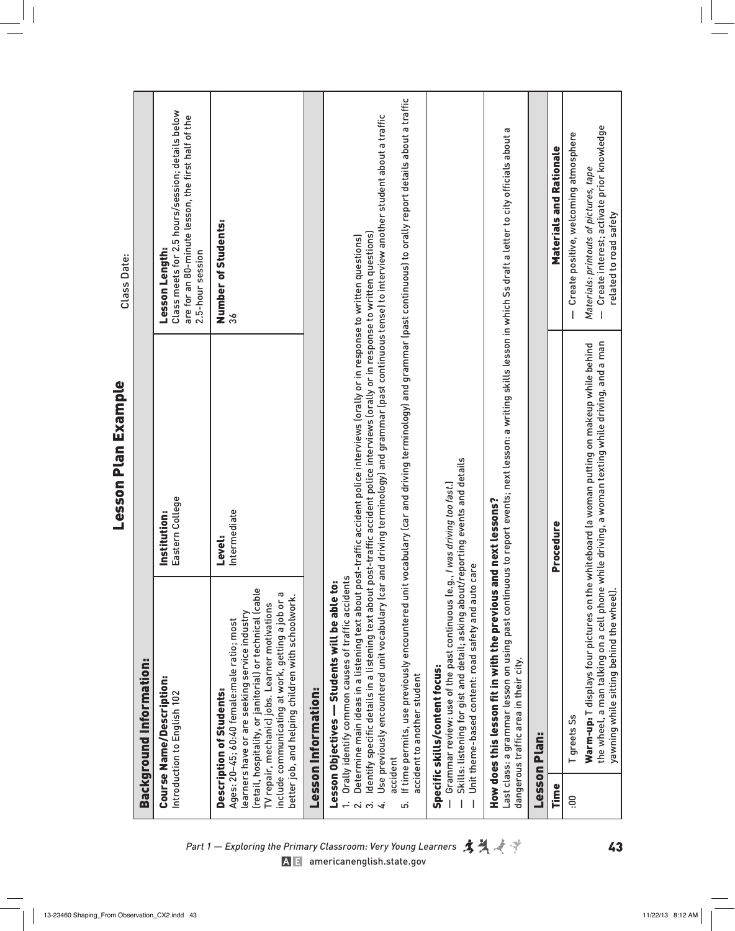|                 |                                                                                                                                                                                                                                                                                                                                                    | <b>Lesson Plan Example</b>                                                                                                                                                                                                                                                                                                                                                                                                                                                                                                                                      | Class Date:                                                                                                                                  |
|-----------------|----------------------------------------------------------------------------------------------------------------------------------------------------------------------------------------------------------------------------------------------------------------------------------------------------------------------------------------------------|-----------------------------------------------------------------------------------------------------------------------------------------------------------------------------------------------------------------------------------------------------------------------------------------------------------------------------------------------------------------------------------------------------------------------------------------------------------------------------------------------------------------------------------------------------------------|----------------------------------------------------------------------------------------------------------------------------------------------|
|                 | Background Information:                                                                                                                                                                                                                                                                                                                            |                                                                                                                                                                                                                                                                                                                                                                                                                                                                                                                                                                 |                                                                                                                                              |
|                 | <b>Course Name/Description:</b><br>Introduction to English 102                                                                                                                                                                                                                                                                                     | Eastern College<br>Institution:                                                                                                                                                                                                                                                                                                                                                                                                                                                                                                                                 | Class meets for 2.5 hours/session; details below<br>are for an 80-minute lesson, the first half of the<br>Lesson Length:<br>2.5-hour session |
|                 | (retail, hospitality, or janitorial) or technical (cable<br>G<br>better job, and helping children with schoolwork.<br>include communicating at work, getting a job or<br>TV repair, mechanic) jobs. Learner motivations<br>learners have or are seeking service industry<br>Ages: 20-45; 60:40 female:male ratio; most<br>Description of Students: | Intermediate<br><b>Level:</b>                                                                                                                                                                                                                                                                                                                                                                                                                                                                                                                                   | Number of Students:                                                                                                                          |
|                 | <b>Lesson Information:</b>                                                                                                                                                                                                                                                                                                                         |                                                                                                                                                                                                                                                                                                                                                                                                                                                                                                                                                                 |                                                                                                                                              |
| accident<br>ίn, | Use previously encountered unit vocabulary (car ar<br>Orally identify common causes of traffic accidents<br>Lesson Objectives - Students will be able to:<br>accident to another student                                                                                                                                                           | If time permits, use previously encountered unit vocabulary (car and driving terminology) and grammar (past continuous) to orally report details about a traffic<br>id driving terminology) and grammar (past continuous tense) to interview another student about a traffic<br>ldentify specific details in a listening text about post-traffic accident police interviews lorally or in response to written questions)<br>Determine main ideas in a listening text about post-traffic accident police interviews (orally or in response to written questions) |                                                                                                                                              |
|                 | Skills: listening for gist and detail; asking about/reporting events and details<br>Unit theme-based content: road safety and auto care<br>Grammar review: use of the past continuous (e.g., /<br>Specific skills/content focus:                                                                                                                   | I was driving too fast.                                                                                                                                                                                                                                                                                                                                                                                                                                                                                                                                         |                                                                                                                                              |
|                 | How does this lesson fit in with the previous and next lessons?<br>dangerous traffic area in their city.                                                                                                                                                                                                                                           | Last class: a grammar lesson on using past continuous to report events; next lesson: a writing skills lesson in which Ss draft a letter to city officials about a                                                                                                                                                                                                                                                                                                                                                                                               |                                                                                                                                              |
|                 | <b>Lesson Plan:</b>                                                                                                                                                                                                                                                                                                                                |                                                                                                                                                                                                                                                                                                                                                                                                                                                                                                                                                                 |                                                                                                                                              |
| Time            |                                                                                                                                                                                                                                                                                                                                                    | Procedure                                                                                                                                                                                                                                                                                                                                                                                                                                                                                                                                                       | <b>Materials and Rationale</b>                                                                                                               |
| ë.              | T greets Ss                                                                                                                                                                                                                                                                                                                                        |                                                                                                                                                                                                                                                                                                                                                                                                                                                                                                                                                                 | Create positive, welcoming atmosphere                                                                                                        |
|                 | yawning while sitting behind the wheel).                                                                                                                                                                                                                                                                                                           | the wheel, a man talking on a cell phone while driving, a woman texting while driving, and a man<br><b>Warm-up:</b> T displays four pictures on the whiteboard (a woman putting on makeup while behind                                                                                                                                                                                                                                                                                                                                                          | Create interest; activate prior knowledge<br>Materials: printouts of pictures, tape<br>related to road safety                                |

*Part 1 — Exploring the Primary Classroom: Very Young Learners*  $\mathbf{A} \mathbf{A} \mathbf{A}$ [americanenglish.state.gov](http://americanenglish.state.gov)

Lesson Plan Example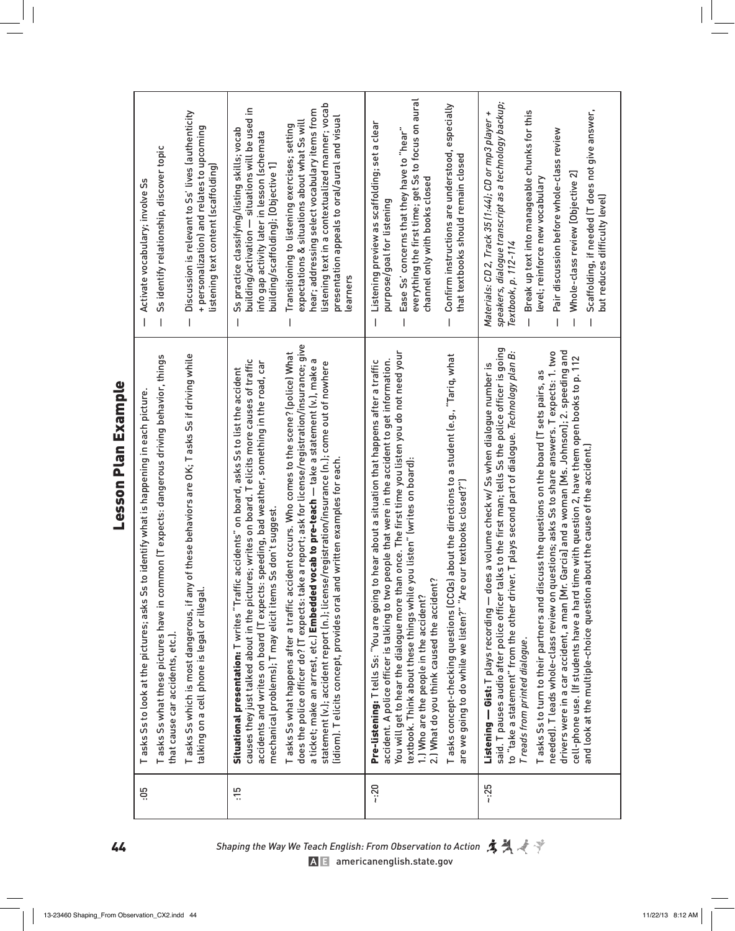| $\mathbf{I}$ |
|--------------|
| ,            |
|              |
| ţ            |
| ľ            |
|              |
|              |
|              |
|              |
|              |
|              |
|              |

| Ss identify relationship, discover topic<br>Activate vocabulary; involve Ss<br>$\overline{1}$<br>$\overline{\phantom{a}}$                                                                                                 | Discussion is relevant to Ss' lives (authenticity<br>+ personalization) and relates to upcoming<br>listening text content (scaffolding)         | listening text in a contextualized manner; vocab<br>building/activation — situations will be used in<br>hear; addressing select vocabulary items from<br>presentation appeals to oral/aural and visual<br>expectations & situations about what Ss will<br>Transitioning to listening exercises; setting<br>Ss practice classifying/listing skills; vocab<br>info gap activity later in lesson (schemata<br>building/scaffolding); [Objective 1]<br>learners                                                                                                                                                                                                                                                                                                                                                                                           | everything the first time; get Ss to focus on aural<br>Confirm instructions are understood, especially<br>Listening preview as scaffolding; set a clear<br>Ease Ss' concerns that they have to "hear"<br>that textbooks should remain closed<br>channel only with books closed<br>purpose/goal for listening<br>$\overline{1}$                                                                                                                                                                                                                                                                                                                            | speakers, dialogue transcript as a technology backup;<br>Scaffolding, if needed [T does not give answer,<br>Break up text into manageable chunks for this<br>Materials: CD 2, Track 35 (1:44); CD or mp3 player +<br>Pair discussion before whole-class review<br>Whole-class review [Objective 2]<br>level; reinforce new vocabulary<br>but reduces difficulty level)<br>Textbook, p. 112-114                                                                                                                                                                                                                                                                                                                                                                                                                                  |
|---------------------------------------------------------------------------------------------------------------------------------------------------------------------------------------------------------------------------|-------------------------------------------------------------------------------------------------------------------------------------------------|-------------------------------------------------------------------------------------------------------------------------------------------------------------------------------------------------------------------------------------------------------------------------------------------------------------------------------------------------------------------------------------------------------------------------------------------------------------------------------------------------------------------------------------------------------------------------------------------------------------------------------------------------------------------------------------------------------------------------------------------------------------------------------------------------------------------------------------------------------|-----------------------------------------------------------------------------------------------------------------------------------------------------------------------------------------------------------------------------------------------------------------------------------------------------------------------------------------------------------------------------------------------------------------------------------------------------------------------------------------------------------------------------------------------------------------------------------------------------------------------------------------------------------|---------------------------------------------------------------------------------------------------------------------------------------------------------------------------------------------------------------------------------------------------------------------------------------------------------------------------------------------------------------------------------------------------------------------------------------------------------------------------------------------------------------------------------------------------------------------------------------------------------------------------------------------------------------------------------------------------------------------------------------------------------------------------------------------------------------------------------|
| Tasks Ss what these pictures have in common (T expects: dangerous driving behavior, things<br>Tasks Ss to look at the pictures; asks Ss to identify what is happening in each picture<br>that cause car accidents, etc.). | T asks Ss which is most dangerous, if any of these behaviors are OK; T asks Ss if driving while<br>talking on a cell phone is legal or illegal. | does the police officer do? (T expects: take a report; ask for license/registration/insurance; give<br>T asks Ss what happens after a traffic accident occurs. Who comes to the scene? (police) What<br>causes they just talked about in the pictures; writes on board. T elicits more causes of traffic<br>accidents and writes on board (T expects: speeding, bad weather, something in the road, car<br>statement (v.); accident report (n.); license/registration/insurance (n.); come out of nowhere<br>a ticket; make an arrest, etc.) Embedded vocab to pre-teach — take a statement (v.), make<br>accidents" on board, asks Ss to list the accident<br>lidiom). Telicits concept, provides oral and written examples for each<br>s don't suggest.<br>mechanical problems); T may elicit items S<br>Situational presentation: Twrites "Traffic | You will get to hear the dialogue more than once. The first time you listen you do not need your<br>about the directions to a student (e.g., "Tariq, what<br>accident. A police officer is talking to two people that were in the accident to get information.<br>hear about a situation that happens after a traffic<br>textbook. Think about these things while you listen" (writes on board):<br>are we going to do while we listen?" "Are our textbooks closed?")<br>2.) What do you think caused the accident?<br>Pre-listening: T tells Ss: "You are going to<br>Tasks concept-checking questions (CCQs)<br>1.) Who are the people in the accident? | ks to the first man; tells Ss the police officer is going<br>T plays second part of dialogue. Technology plan B:<br>drivers were in a car accident, a man [Mr. Garcia] and a woman [Ms. Johnson]; 2. speeding and<br>needed). T leads whole-class review on questions; asks Ss to share answers. T expects: 1. two<br>cell-phone use. (If students have a hard time with question 2, have them open books to p. 112<br>Listening — Gist: T plays recording — does a volume check w/ Ss when dialogue number is<br>T asks Ss to turn to their partners and discuss the questions on the board (T sets pairs, as<br>and look at the multiple-choice question about the cause of the accident.)<br>to "take a statement" from the other driver.<br>said. T pauses audio after police officer tall<br>Treads from printed dialogue. |
| Ğ.                                                                                                                                                                                                                        |                                                                                                                                                 | $\frac{5}{1}$                                                                                                                                                                                                                                                                                                                                                                                                                                                                                                                                                                                                                                                                                                                                                                                                                                         | $-20$                                                                                                                                                                                                                                                                                                                                                                                                                                                                                                                                                                                                                                                     | ~25                                                                                                                                                                                                                                                                                                                                                                                                                                                                                                                                                                                                                                                                                                                                                                                                                             |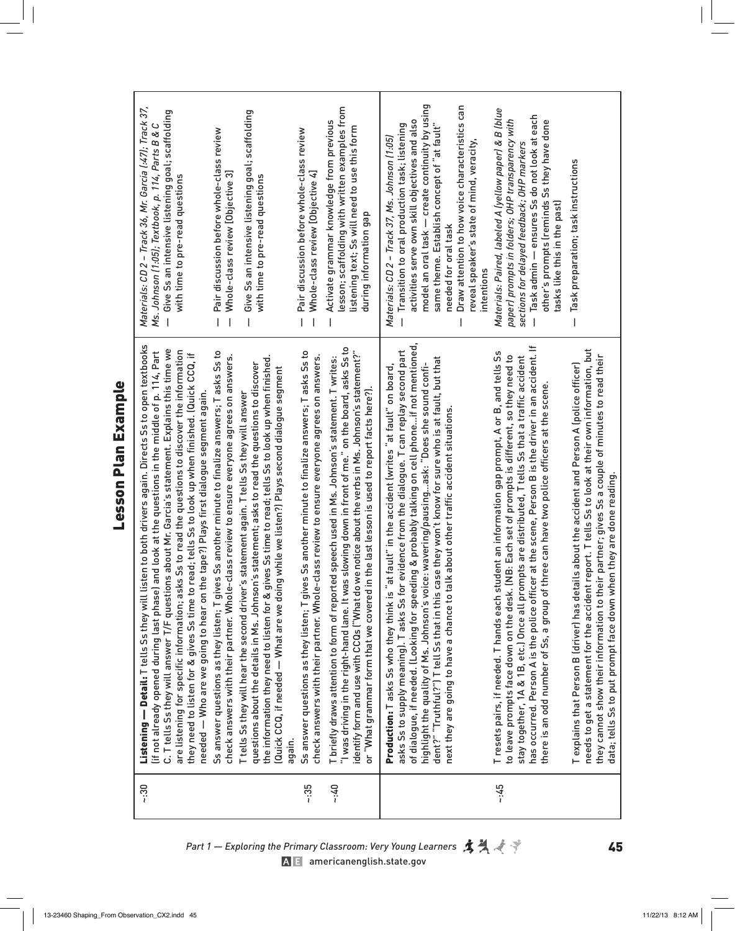| Ľ |
|---|
|   |
|   |

| $\approx$ :30 | Listening — Detail: T tells Ss they will listen to both drivers again. Directs Ss to open textbooks<br>C. T tells Ss they will answer T/F questions about Mr. Garcia's statement. Explains this time we<br>Ss to read the questions to discover the information<br>lif not already opened during last phase) and look at the questions in the middle of p. 114, Part<br>they need to listen for & gives Ss time to read; tells Ss to look up when finished. (Quick CCQ, if<br>needed — Who are we going to hear on the tape?) Plays first dialogue segment again.<br>are listening for specific information; asks | Materials: CD 2 - Track 36, Mr. Garcia (:47); Track 37,<br>Give Ss an intensive listening goal; scaffolding<br>Ms. Johnson (1:05); Textbook, p. 114, Parts B & C<br>with time to pre-read questions                                                                                                                                                                                                         |
|---------------|-------------------------------------------------------------------------------------------------------------------------------------------------------------------------------------------------------------------------------------------------------------------------------------------------------------------------------------------------------------------------------------------------------------------------------------------------------------------------------------------------------------------------------------------------------------------------------------------------------------------|-------------------------------------------------------------------------------------------------------------------------------------------------------------------------------------------------------------------------------------------------------------------------------------------------------------------------------------------------------------------------------------------------------------|
|               | Ss another minute to finalize answers; Tasks Ss to<br>check answers with their partner. Whole-class review to ensure everyone agrees on answers.<br>the information they need to listen for & gives Ss time to read; tells Ss to look up when finished.<br>questions about the details in Ms. Johnson's statement; asks to read the questions to discover<br>while we listen?) Plays second dialogue segment<br>T tells Ss they will hear the second driver's statement again. T tells Ss they will answer<br>Ss answer questions as they listen; T gives<br>Quick CCQ, if needed - What are we doing             | Give Ss an intensive listening goal; scaffolding<br>Pair discussion before whole-class review<br>Whole-class review [Objective 3]<br>with time to pre-read questions                                                                                                                                                                                                                                        |
| $-135$        | Ss another minute to finalize answers; Tasks Ss to<br>check answers with their partner. Whole-class review to ensure everyone agrees on answers.<br>Ss answer questions as they listen; T gives<br>again.                                                                                                                                                                                                                                                                                                                                                                                                         | Pair discussion before whole-class review<br>Whole-class review [Objective 4]                                                                                                                                                                                                                                                                                                                               |
| $-40$         | "I was driving in the right-hand lane. It was slowing down in front of me." on the board, asks Ss to<br>identify form and use with CCQs ("What do we notice about the verbs in Ms. Johnson's statement?"<br>T briefly draws attention to form of reported speech used in Ms. Johnson's statement. T writes:<br>or "What grammar form that we covered in the last lesson is used to report facts here?).                                                                                                                                                                                                           | lesson; scaffolding with written examples from<br>Activate grammar knowledge from previous<br>listening text; Ss will need to use this form<br>during information gap                                                                                                                                                                                                                                       |
|               | of dialogue, if needed. (Looking for speeding & probably talking on cell phone…if not mentioned,<br>asks Ss to supply meaning). T asks Ss for evidence from the dialogue. T can replay second part<br>dent?" "Truthful?") T tell Ss that in this case they won't know for sure who is at fault, but that<br>highlight the quality of Ms. Johnson's voice: wavering/pausingask: "Does she sound confi-<br>Production: T asks Ss who they think is "at fault" in the accident (writes "at fault" on board,<br>next they are going to have a chance to talk about other traffic accident situations                  | model an oral task - create continuity by using<br>Draw attention to how voice characteristics can<br>activities serve own skill objectives and also<br>same theme. Establish concept of "at fault"<br>Transition to oral production task; listening<br>Materials: CD 2 - Track 37, Ms. Johnson (1:05)<br>reveal speaker's state of mind, veracity,<br>needed for oral task<br>intentions<br>$\overline{1}$ |
| $-145$        | has occurred. Person A is the police officer at the scene, Person B is the driver in an accident. If<br>T resets pairs, if needed. T hands each student an information gap prompt, A or B, and tells Ss<br>B: Each set of prompts is different, so they need to<br>stay together, 1A & 1B, etc.) Once all prompts are distributed, T tells Ss that a traffic accident<br>there is an odd number of Ss, a group of three can have two police officers at the scene.<br>to leave prompts face down on the desk. IN                                                                                                  | Materials: Paired, labeled A (yellow paper) & B (blue<br>Task admin - ensures Ss do not look at each<br>paper) prompts in folders; OHP transparency with<br>other's prompts (reminds Ss they have done<br>sections for delayed feedback; OHP markers<br>tasks like this in the past)                                                                                                                        |
|               | needs to get a statement for the accident report. T tells Ss to look at their own information, but<br>partner; gives Ss a couple of minutes to read their<br>is about the accident and Person A (police officer)<br>data; tells Ss to put prompt face down when they are done reading.<br>Texplains that Person B (driver) has detail<br>they cannot show their information to their                                                                                                                                                                                                                              | Task preparation; task instructions                                                                                                                                                                                                                                                                                                                                                                         |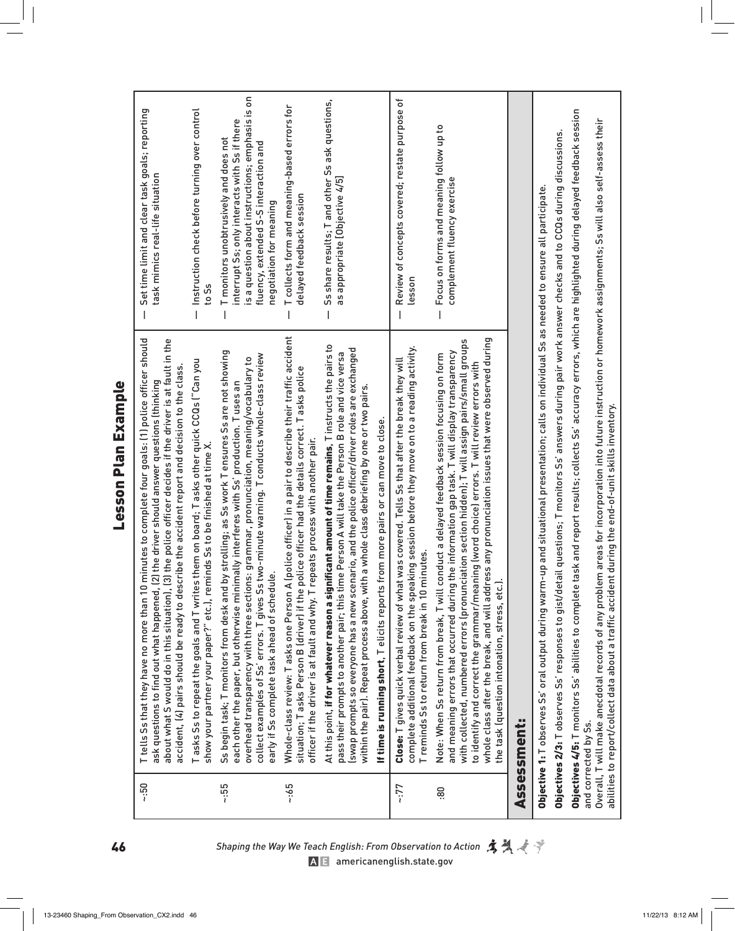| ı |
|---|
|   |
|   |
|   |
|   |
|   |
|   |
|   |
|   |
|   |
|   |
|   |
|   |

| $-0.5$ | the police officer decides if the driver is at fault in the<br>T tells Ss that they have no more than 10 minutes to complete four goals: (1) police officer should<br>accident, (4) pairs should be ready to describe the accident report and decision to the class.<br>the driver should answer questions (thinking<br>ask questions to find out what happened, (2)<br>about what S would do in this situation), (3)                                                                                                                                    | Set time limit and clear task goals; reporting<br>task mimics real-life situation                                                                                                                              |
|--------|----------------------------------------------------------------------------------------------------------------------------------------------------------------------------------------------------------------------------------------------------------------------------------------------------------------------------------------------------------------------------------------------------------------------------------------------------------------------------------------------------------------------------------------------------------|----------------------------------------------------------------------------------------------------------------------------------------------------------------------------------------------------------------|
|        | T asks Ss to repeat the goals and T writes them on board; T asks other quick CCQs ("Can you<br>show your partner your paper?" etc.), reminds Ss to be finished at time X                                                                                                                                                                                                                                                                                                                                                                                 | Instruction check before turning over control<br>to Ss<br>I                                                                                                                                                    |
| 55:    | strolling; as Ss work T ensures Ss are not showing<br>collect examples of Ss' errors. T gives Ss two-minute warning. T conducts whole-class review<br>overhead transparency with three sections: grammar, pronunciation, meaning/vocabulary to<br>each other the paper, but otherwise minimally interferes with Ss' production. Tuses an<br>Ss begin task; T monitors from desk and by<br>early if Ss complete task ahead of schedule                                                                                                                    | is a question about instructions; emphasis is on<br>interrupt Ss; only interacts with Ss if there<br>T monitors unobtrusively and does not<br>fluency, extended S-S interaction and<br>negotiation for meaning |
| $-165$ | Whole-class review: T asks one Person A (police officer) in a pair to describe their traffic accident<br>situation; T asks Person B (driver) if the police officer had the details correct. T asks police<br>officer if the driver is at fault and why. T repeats process with another pair.                                                                                                                                                                                                                                                             | T collects form and meaning-based errors for<br>delayed feedback session                                                                                                                                       |
|        | At this point, <b>if for whatever reason a significant amount of time remains</b> , T instructs the pairs to<br>(swap prompts so everyone has a new scenario, and the police officer/driver roles are exchanged<br>pass their prompts to another pair; this time Person A will take the Person B role and vice versa<br>within the pair). Repeat process above, with a whole class debriefing by one or two pairs.                                                                                                                                       | Ss share results; T and other Ss ask questions,<br>as appropriate [Objective 4/5]                                                                                                                              |
|        | If time is running short, T elicits reports from more pairs or can move to close.                                                                                                                                                                                                                                                                                                                                                                                                                                                                        |                                                                                                                                                                                                                |
| -:77   | complete additional feedback on the speaking session before they move on to a reading activity.<br>Close: T gives quick verbal review of what was covered. Tells Ss that after the break they will<br>Treminds Ss to return from break in 10 minutes.                                                                                                                                                                                                                                                                                                    | Review of concepts covered; restate purpose of<br>lesson                                                                                                                                                       |
| 80     | whole class after the break, and will address any pronunciation issues that were observed during<br>with collected, numbered errors (pronunciation section hidden); T will assign pairs/small groups<br>e information gap task. T will display transparency<br>Note: When Ss return from break, T will conduct a delayed feedback session focusing on form<br>to identify and correct the grammar/meaning (word choice) errors. T will review errors with<br>and meaning errors that occurred during th<br>the task (question intonation, stress, etc.). | Focus on forms and meaning follow up to<br>complement fluency exercise                                                                                                                                         |
|        | Assessment:                                                                                                                                                                                                                                                                                                                                                                                                                                                                                                                                              |                                                                                                                                                                                                                |
|        | <b>Objective 1:</b> T observes Ss' oral output during warm-up and situational presentation; calls on individual Ss as needed to ensure all participate.                                                                                                                                                                                                                                                                                                                                                                                                  |                                                                                                                                                                                                                |
|        | Objectives 2/3: Tobserves Ss' responses to gist/detail questions; T monitors Ss' answers during pair work answer checks and to CCQs during discussions.                                                                                                                                                                                                                                                                                                                                                                                                  |                                                                                                                                                                                                                |
|        | Objectives 4/5: T monitors Ss' abilities to complete task and report results; collects Ss' accuracy errors, which are highlighted during delayed feedback session                                                                                                                                                                                                                                                                                                                                                                                        |                                                                                                                                                                                                                |
|        | Overall, T will make anecdotal records of any problem areas for incorporation into future instruction or homework assignments; Ss will also self-assess their<br>abilities to report/collect data about a traffic accident during the end-of-unit skills inventory.<br>and corrected by Ss.                                                                                                                                                                                                                                                              |                                                                                                                                                                                                                |